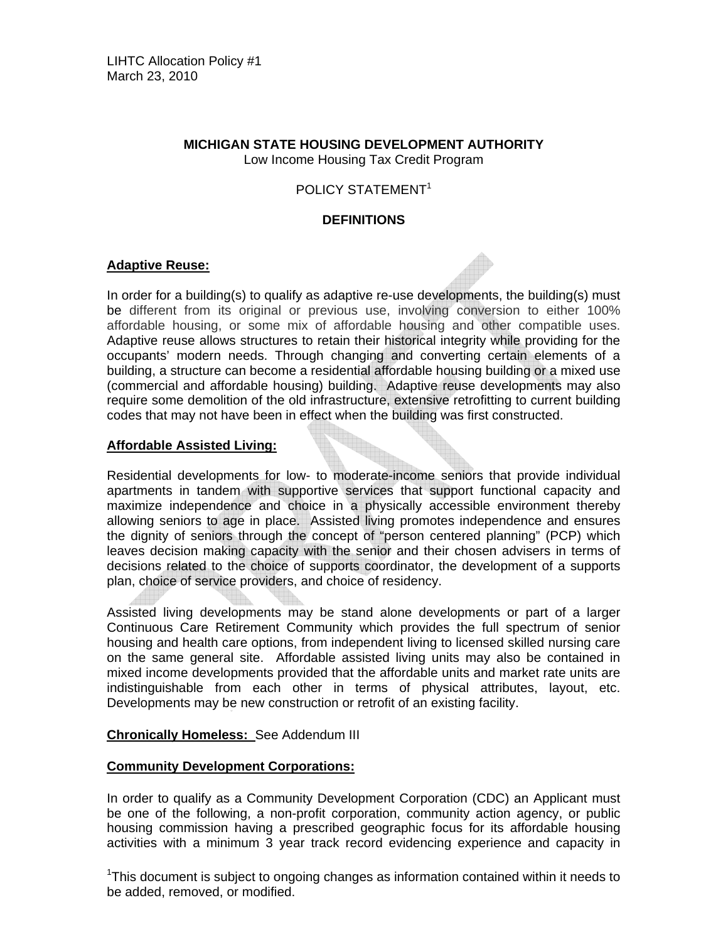# **MICHIGAN STATE HOUSING DEVELOPMENT AUTHORITY**

Low Income Housing Tax Credit Program

# POLICY STATEMENT<sup>1</sup>

# **DEFINITIONS**

## **Adaptive Reuse:**

In order for a building(s) to qualify as adaptive re-use developments, the building(s) must be different from its original or previous use, involving conversion to either 100% affordable housing, or some mix of affordable housing and other compatible uses. Adaptive reuse allows structures to retain their historical integrity while providing for the occupants' modern needs. Through changing and converting certain elements of a building, a structure can become a residential affordable housing building or a mixed use (commercial and affordable housing) building. Adaptive reuse developments may also require some demolition of the old infrastructure, extensive retrofitting to current building codes that may not have been in effect when the building was first constructed.

## **Affordable Assisted Living:**

Residential developments for low- to moderate-income seniors that provide individual apartments in tandem with supportive services that support functional capacity and maximize independence and choice in a physically accessible environment thereby allowing seniors to age in place. Assisted living promotes independence and ensures the dignity of seniors through the concept of "person centered planning" (PCP) which leaves decision making capacity with the senior and their chosen advisers in terms of decisions related to the choice of supports coordinator, the development of a supports plan, choice of service providers, and choice of residency.

Assisted living developments may be stand alone developments or part of a larger Continuous Care Retirement Community which provides the full spectrum of senior housing and health care options, from independent living to licensed skilled nursing care on the same general site. Affordable assisted living units may also be contained in mixed income developments provided that the affordable units and market rate units are indistinguishable from each other in terms of physical attributes, layout, etc. Developments may be new construction or retrofit of an existing facility.

#### **Chronically Homeless:** See Addendum III

#### **Community Development Corporations:**

In order to qualify as a Community Development Corporation (CDC) an Applicant must be one of the following, a non-profit corporation, community action agency, or public housing commission having a prescribed geographic focus for its affordable housing activities with a minimum 3 year track record evidencing experience and capacity in

<sup>1</sup>This document is subject to ongoing changes as information contained within it needs to be added, removed, or modified.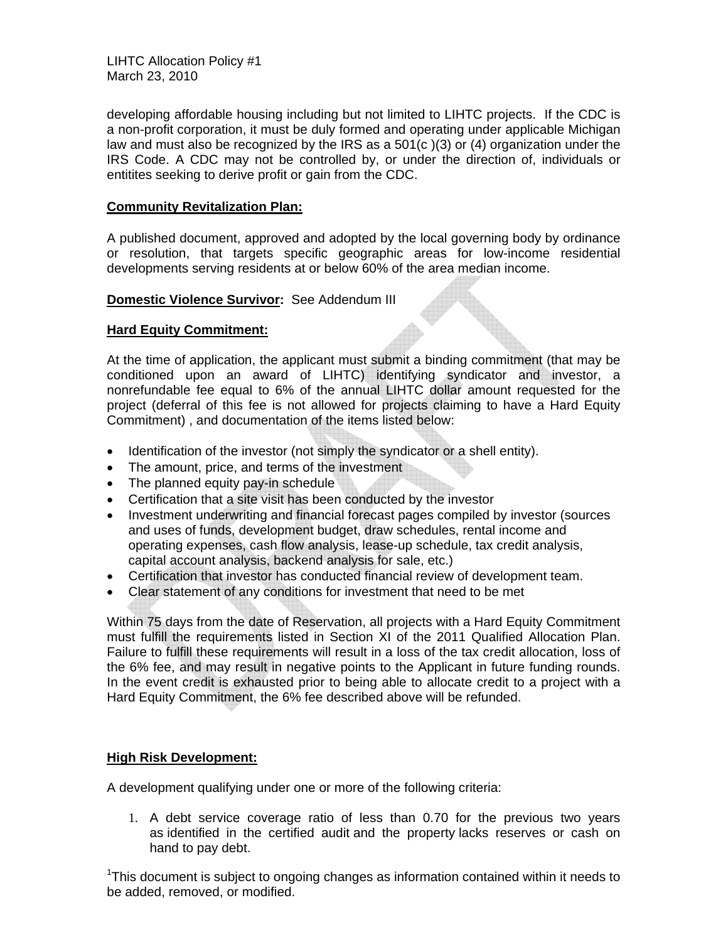LIHTC Allocation Policy #1 March 23, 2010

developing affordable housing including but not limited to LIHTC projects. If the CDC is a non-profit corporation, it must be duly formed and operating under applicable Michigan law and must also be recognized by the IRS as a 501(c )(3) or (4) organization under the IRS Code. A CDC may not be controlled by, or under the direction of, individuals or entitites seeking to derive profit or gain from the CDC.

#### **Community Revitalization Plan:**

A published document, approved and adopted by the local governing body by ordinance or resolution, that targets specific geographic areas for low-income residential developments serving residents at or below 60% of the area median income.

#### **Domestic Violence Survivor:** See Addendum III

# **Hard Equity Commitment:**

At the time of application, the applicant must submit a binding commitment (that may be conditioned upon an award of LIHTC) identifying syndicator and investor, a nonrefundable fee equal to 6% of the annual LIHTC dollar amount requested for the project (deferral of this fee is not allowed for projects claiming to have a Hard Equity Commitment) , and documentation of the items listed below:

- Identification of the investor (not simply the syndicator or a shell entity).
- The amount, price, and terms of the investment
- The planned equity pay-in schedule
- Certification that a site visit has been conducted by the investor
- Investment underwriting and financial forecast pages compiled by investor (sources and uses of funds, development budget, draw schedules, rental income and operating expenses, cash flow analysis, lease-up schedule, tax credit analysis, capital account analysis, backend analysis for sale, etc.)
- Certification that investor has conducted financial review of development team.
- Clear statement of any conditions for investment that need to be met

Within 75 days from the date of Reservation, all projects with a Hard Equity Commitment must fulfill the requirements listed in Section XI of the 2011 Qualified Allocation Plan. Failure to fulfill these requirements will result in a loss of the tax credit allocation, loss of the 6% fee, and may result in negative points to the Applicant in future funding rounds. In the event credit is exhausted prior to being able to allocate credit to a project with a Hard Equity Commitment, the 6% fee described above will be refunded.

# **High Risk Development:**

A development qualifying under one or more of the following criteria:

1. A debt service coverage ratio of less than 0.70 for the previous two years as identified in the certified audit and the property lacks reserves or cash on hand to pay debt.

<sup>1</sup>This document is subject to ongoing changes as information contained within it needs to be added, removed, or modified.